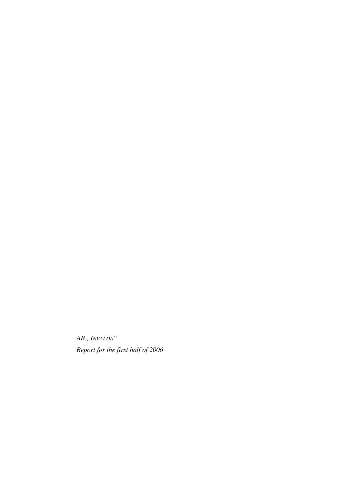$AB$  ,<br>  $\ensuremath{\textit{INVALDA}}$  " *Report for the first half of 2006*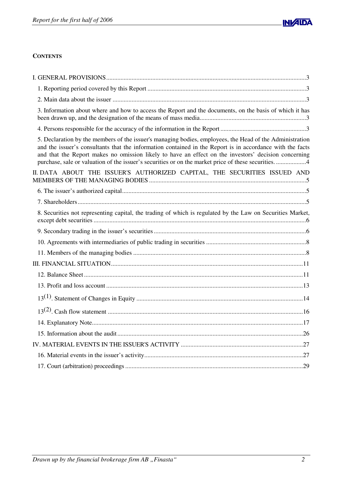

# **CONTENTS**

| 3. Information about where and how to access the Report and the documents, on the basis of which it has                                                                                                                                                                                                                                                                                                                             |
|-------------------------------------------------------------------------------------------------------------------------------------------------------------------------------------------------------------------------------------------------------------------------------------------------------------------------------------------------------------------------------------------------------------------------------------|
|                                                                                                                                                                                                                                                                                                                                                                                                                                     |
| 5. Declaration by the members of the issuer's managing bodies, employees, the Head of the Administration<br>and the issuer's consultants that the information contained in the Report is in accordance with the facts<br>and that the Report makes no omission likely to have an effect on the investors' decision concerning<br>purchase, sale or valuation of the issuer's securities or on the market price of these securities4 |
| II. DATA ABOUT THE ISSUER'S AUTHORIZED CAPITAL, THE SECURITIES ISSUED AND                                                                                                                                                                                                                                                                                                                                                           |
|                                                                                                                                                                                                                                                                                                                                                                                                                                     |
|                                                                                                                                                                                                                                                                                                                                                                                                                                     |
| 8. Securities not representing capital, the trading of which is regulated by the Law on Securities Market,                                                                                                                                                                                                                                                                                                                          |
|                                                                                                                                                                                                                                                                                                                                                                                                                                     |
|                                                                                                                                                                                                                                                                                                                                                                                                                                     |
|                                                                                                                                                                                                                                                                                                                                                                                                                                     |
|                                                                                                                                                                                                                                                                                                                                                                                                                                     |
|                                                                                                                                                                                                                                                                                                                                                                                                                                     |
|                                                                                                                                                                                                                                                                                                                                                                                                                                     |
|                                                                                                                                                                                                                                                                                                                                                                                                                                     |
|                                                                                                                                                                                                                                                                                                                                                                                                                                     |
|                                                                                                                                                                                                                                                                                                                                                                                                                                     |
|                                                                                                                                                                                                                                                                                                                                                                                                                                     |
|                                                                                                                                                                                                                                                                                                                                                                                                                                     |
|                                                                                                                                                                                                                                                                                                                                                                                                                                     |
|                                                                                                                                                                                                                                                                                                                                                                                                                                     |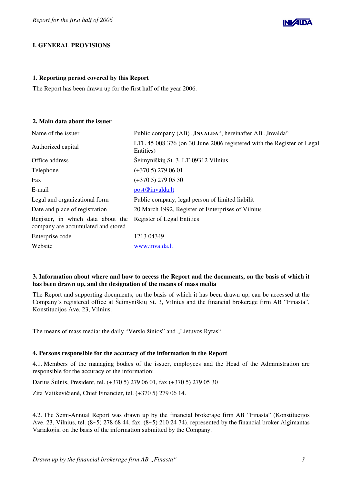

# **I. GENERAL PROVISIONS**

## **1. Reporting period covered by this Report**

The Report has been drawn up for the first half of the year 2006.

## **2. Main data about the issuer**

| Public company (AB) "INVALDA", hereinafter AB "Invalda"                            |
|------------------------------------------------------------------------------------|
| LTL 45 008 376 (on 30 June 2006 registered with the Register of Legal<br>Entities) |
| Šeimyniškių St. 3, LT-09312 Vilnius                                                |
| $(+3705)$ 279 06 01                                                                |
| $(+3705)$ 279 05 30                                                                |
| post@invalda.lt                                                                    |
| Public company, legal person of limited liabilit                                   |
| 20 March 1992, Register of Enterprises of Vilnius                                  |
| Register of Legal Entities                                                         |
| 1213 04349                                                                         |
| www.invalda.lt                                                                     |
|                                                                                    |

# 3. Information about where and how to access the Report and the documents, on the basis of which it **has been drawn up, and the designation of the means of mass media**

The Report and supporting documents, on the basis of which it has been drawn up, can be accessed at the Company's registered office at Šeimyniškių St. 3, Vilnius and the financial brokerage firm AB "Finasta", Konstitucijos Ave. 23, Vilnius.

The means of mass media: the daily "Verslo žinios" and "Lietuvos Rytas".

## **4. Persons responsible for the accuracy of the information in the Report**

4.1. Members of the managing bodies of the issuer, employees and the Head of the Administration are responsible for the accuracy of the information:

Darius Šulnis, President, tel. (+370 5) 279 06 01, fax (+370 5) 279 05 30

Zita Vaitkevičienė, Chief Financier, tel. (+370 5) 279 06 14.

4.2. The Semi-Annual Report was drawn up by the financial brokerage firm AB "Finasta" (Konstitucijos Ave. 23, Vilnius, tel. (8~5) 278 68 44, fax. (8~5) 210 24 74), represented by the financial broker Algimantas Variakojis, on the basis of the information submitted by the Company.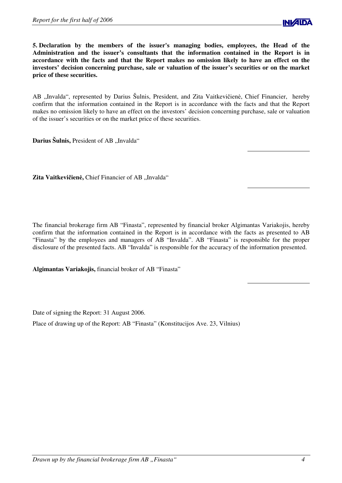

**5. Declaration by the members of the issuer's managing bodies, employees, the Head of the Administration and the issuer's consultants that the information contained in the Report is in accordance with the facts and that the Report makes no omission likely to have an effect on the investors' decision concerning purchase, sale or valuation of the issuer's securities or on the market price of these securities.**

AB "Invalda", represented by Darius Šulnis, President, and Zita Vaitkevičienė, Chief Financier, hereby confirm that the information contained in the Report is in accordance with the facts and that the Report makes no omission likely to have an effect on the investors' decision concerning purchase, sale or valuation of the issuer's securities or on the market price of these securities.

**Darius Šulnis, President of AB "Invalda"** 

Zita Vaitkevičienė, Chief Financier of AB "Invalda"

The financial brokerage firm AB "Finasta", represented by financial broker Algimantas Variakojis, hereby confirm that the information contained in the Report is in accordance with the facts as presented to AB "Finasta" by the employees and managers of AB "Invalda". AB "Finasta" is responsible for the proper disclosure of the presented facts. AB "Invalda" is responsible for the accuracy of the information presented.

**Algimantas Variakojis,** financial broker of AB "Finasta"

Date of signing the Report: 31 August 2006.

Place of drawing up of the Report: AB "Finasta" (Konstitucijos Ave. 23, Vilnius)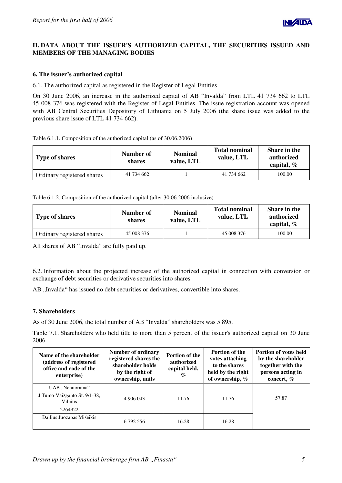# **II. DATA ABOUT THE ISSUER'S AUTHORIZED CAPITAL, THE SECURITIES ISSUED AND MEMBERS OF THE MANAGING BODIES**

## **6. The issuer's authorized capital**

6.1. The authorized capital as registered in the Register of Legal Entities

On 30 June 2006, an increase in the authorized capital of AB "Invalda" from LTL 41 734 662 to LTL 45 008 376 was registered with the Register of Legal Entities. The issue registration account was opened with AB Central Securities Depository of Lithuania on 5 July 2006 (the share issue was added to the previous share issue of LTL 41 734 662).

| Table 6.1.1. Composition of the authorized capital (as of 30.06.2006) |  |  |  |
|-----------------------------------------------------------------------|--|--|--|
|                                                                       |  |  |  |

| <b>Type of shares</b>      | Number of<br>shares | <b>Nominal</b><br>value, LTL | <b>Total nominal</b><br>value, LTL | Share in the<br>authorized<br>capital, $%$ |
|----------------------------|---------------------|------------------------------|------------------------------------|--------------------------------------------|
| Ordinary registered shares | 41 734 662          |                              | 41 734 662                         | 100.00                                     |

| Table 6.1.2. Composition of the authorized capital (after 30.06.2006 inclusive) |  |  |
|---------------------------------------------------------------------------------|--|--|
|                                                                                 |  |  |
|                                                                                 |  |  |

| <b>Type of shares</b>      | Number of<br>shares | <b>Nominal</b><br>value, LTL | <b>Total nominal</b><br>value, LTL | Share in the<br>authorized<br>capital, $%$ |
|----------------------------|---------------------|------------------------------|------------------------------------|--------------------------------------------|
| Ordinary registered shares | 45 008 376          |                              | 45 008 376                         | 100.00                                     |

All shares of AB "Invalda" are fully paid up.

6.2. Information about the projected increase of the authorized capital in connection with conversion or exchange of debt securities or derivative securities into shares

AB "Invalda" has issued no debt securities or derivatives, convertible into shares.

## **7. Shareholders**

As of 30 June 2006, the total number of AB "Invalda" shareholders was 5 895.

Table 7.1. Shareholders who held title to more than 5 percent of the issuer's authorized capital on 30 June 2006.

| Name of the shareholder<br>(address of registered<br>office and code of the<br>enterprise) | Number of ordinary<br>registered shares the<br>shareholder holds<br>by the right of<br>ownership, units | <b>Portion of the</b><br>authorized<br>capital held,<br>$\mathcal{G}_{\Omega}$ | <b>Portion of the</b><br>votes attaching<br>to the shares<br>held by the right<br>of ownership, $%$ | <b>Portion of votes held</b><br>by the shareholder<br>together with the<br>persons acting in<br>concert, % |
|--------------------------------------------------------------------------------------------|---------------------------------------------------------------------------------------------------------|--------------------------------------------------------------------------------|-----------------------------------------------------------------------------------------------------|------------------------------------------------------------------------------------------------------------|
| UAB "Nenuorama"                                                                            |                                                                                                         |                                                                                |                                                                                                     |                                                                                                            |
| J.Tumo-Vaižganto St. 9/1-38,<br><b>Vilnius</b>                                             | 4 906 043                                                                                               | 11.76                                                                          | 11.76                                                                                               | 57.87                                                                                                      |
| 2264922                                                                                    |                                                                                                         |                                                                                |                                                                                                     |                                                                                                            |
| Dailius Juozapas Mišeikis                                                                  | 6 792 556                                                                                               | 16.28                                                                          | 16.28                                                                                               |                                                                                                            |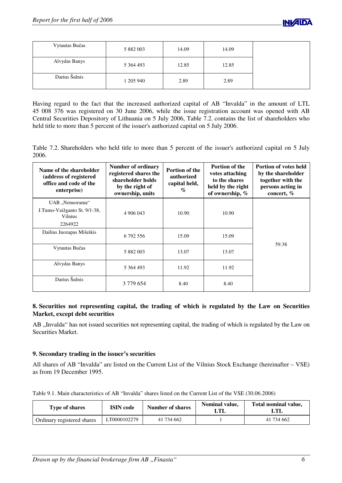| Vytautas Bučas | 5 882 003 | 14.09 | 14.09 |
|----------------|-----------|-------|-------|
| Alvydas Banys  | 5 364 493 | 12.85 | 12.85 |
| Darius Šulnis  | 1 205 940 | 2.89  | 2.89  |

Having regard to the fact that the increased authorized capital of AB "Invalda" in the amount of LTL 45 008 376 was registered on 30 June 2006, while the issue registration account was opened with AB Central Securities Depository of Lithuania on 5 July 2006, Table 7.2. contains the list of shareholders who held title to more than 5 percent of the issuer's authorized capital on 5 July 2006.

Table 7.2. Shareholders who held title to more than 5 percent of the issuer's authorized capital on 5 July 2006.

| Name of the shareholder<br>(address of registered<br>office and code of the<br>enterprise) | <b>Number of ordinary</b><br>registered shares the<br>shareholder holds<br>by the right of<br>ownership, units | Portion of the<br>authorized<br>capital held,<br>$\%$ | <b>Portion of the</b><br>votes attaching<br>to the shares<br>held by the right<br>of ownership, % | <b>Portion of votes held</b><br>by the shareholder<br>together with the<br>persons acting in<br>concert, % |
|--------------------------------------------------------------------------------------------|----------------------------------------------------------------------------------------------------------------|-------------------------------------------------------|---------------------------------------------------------------------------------------------------|------------------------------------------------------------------------------------------------------------|
| UAB "Nenuorama"                                                                            |                                                                                                                |                                                       |                                                                                                   |                                                                                                            |
| J.Tumo-Vaižganto St. 9/1-38,<br>Vilnius                                                    | 4 906 043                                                                                                      | 10.90                                                 | 10.90                                                                                             |                                                                                                            |
| 2264922                                                                                    |                                                                                                                |                                                       |                                                                                                   |                                                                                                            |
| Dailius Juozapas Mišeikis                                                                  | 6 792 556                                                                                                      | 15.09                                                 | 15.09                                                                                             |                                                                                                            |
| Vytautas Bučas                                                                             | 5 882 003                                                                                                      | 13.07                                                 | 13.07                                                                                             | 59.38                                                                                                      |
| Alvydas Banys                                                                              | 5 364 493                                                                                                      | 11.92                                                 | 11.92                                                                                             |                                                                                                            |
| Darius Šulnis                                                                              | 3 779 654                                                                                                      | 8.40                                                  | 8.40                                                                                              |                                                                                                            |

# **8. Securities not representing capital, the trading of which is regulated by the Law on Securities Market, except debt securities**

AB "Invalda" has not issued securities not representing capital, the trading of which is regulated by the Law on Securities Market.

# **9. Secondary trading in the issuer's securities**

All shares of AB "Invalda" are listed on the Current List of the Vilnius Stock Exchange (hereinafter – VSE) as from 19 December 1995.

Table 9.1. Main characteristics of AB "Invalda" shares listed on the Current List of the VSE (30.06.2006)

| Type of shares             | <b>ISIN</b> code | <b>Number of shares</b> |  | Total nominal value, |
|----------------------------|------------------|-------------------------|--|----------------------|
| Ordinary registered shares | LT0000102279     | 41 734 662              |  | 41 734 662           |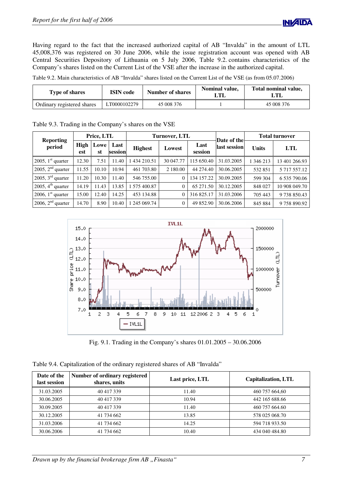Having regard to the fact that the increased authorized capital of AB "Invalda" in the amount of LTL 45,008,376 was registered on 30 June 2006, while the issue registration account was opened with AB Central Securities Depository of Lithuania on 5 July 2006, Table 9.2. contains characteristics of the Company's shares listed on the Current List of the VSE after the increase in the authorized capital.

Table 9.2. Main characteristics of AB "Invalda" shares listed on the Current List of the VSE (as from 05.07.2006)

| Type of shares             | <b>ISIN</b> code | Number of shares | Nominal value, | Total nominal value,<br>ЛI |
|----------------------------|------------------|------------------|----------------|----------------------------|
| Ordinary registered shares | LT0000102279     | 45 008 376       |                | 45 008 376                 |

|                               | Price, LTL  |            |                 | <b>Turnover, LTL</b> |                |                 | Date of the  |              | <b>Total turnover</b> |
|-------------------------------|-------------|------------|-----------------|----------------------|----------------|-----------------|--------------|--------------|-----------------------|
| <b>Reporting</b><br>period    | High<br>est | Lowe<br>st | Last<br>session | <b>Highest</b>       | Lowest         | Last<br>session | last session | <b>Units</b> | <b>LTL</b>            |
| 2005, $1st$ quarter           | 12.30       | 7.51       | 11.40           | 434 210.51           | 30 047.77      | 115 650.40      | 31.03.2005   | 1 346 213    | 13 401 266.93         |
| 2005, $2nd$ quarter           | 11.55       | 10.10      | 10.94           | 461 703.80           | 2 180.00       | 44 274.40       | 30.06.2005   | 532851       | 5 717 557.12          |
| 2005, $3^{\text{rd}}$ quarter | 11.20       | 10.30      | 11.40           | 546 755.00           | $\Omega$       | 134 157.22      | 30.09.2005   | 599 304      | 6 535 790.06          |
| 2005, $4th$ quarter           | 14.19       | 11.43      | 13.85           | 575 400.87           | $\theta$       | 65 271.50       | 30.12.2005   | 848 027      | 10 908 049.70         |
| 2006, $1st$ quarter           | 15.00       | 12.40      | 14.25           | 453 134.88           | $\theta$       | 316 825.17      | 31.03.2006   | 705 443      | 9738850.43            |
| 2006, $2nd$ quarter           | 14.70       | 8.90       | 10.40           | 245 069.74           | $\overline{0}$ | 49 852.90       | 30.06.2006   | 845 884      | 9758890.92            |

Table 9.3. Trading in the Company's shares on the VSE



Fig. 9.1. Trading in the Company's shares 01.01.2005 – 30.06.2006

| Date of the<br>last session | Number of ordinary registered<br>shares, units | Last price, LTL | Capitalization, LTL |
|-----------------------------|------------------------------------------------|-----------------|---------------------|
| 31.03.2005                  | 40 417 339                                     | 11.40           | 460 757 664,60      |
| 30.06.2005                  | 40 417 339                                     | 10.94           | 442 165 688.66      |
| 30.09.2005                  | 40 417 339                                     | 11.40           | 460 757 664.60      |
| 30.12.2005                  | 41 734 662                                     | 13.85           | 578 025 068.70      |
| 31.03.2006                  | 41 734 662                                     | 14.25           | 594 718 933.50      |
| 30.06.2006                  | 41 734 662                                     | 10.40           | 434 040 484.80      |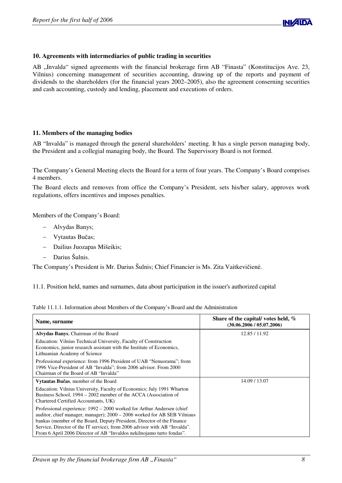

## **10. Agreements with intermediaries of public trading in securities**

AB "Invalda" signed agreements with the financial brokerage firm AB "Finasta" (Konstitucijos Ave. 23, Vilnius) concerning management of securities accounting, drawing up of the reports and payment of dividends to the shareholders (for the financial years 2002–2005), also the agreement conserning securities and cash accounting, custody and lending, placement and executions of orders.

## **11. Members of the managing bodies**

AB "Invalda" is managed through the general shareholders' meeting. It has a single person managing body, the President and a collegial managing body, the Board. The Supervisory Board is not formed.

The Company's General Meeting elects the Board for a term of four years. The Company's Board comprises 4 members.

The Board elects and removes from office the Company's President, sets his/her salary, approves work regulations, offers incentives and imposes penalties.

Members of the Company's Board:

- Alvydas Banys;
- Vytautas Bučas;
- Dailius Juozapas Mišeikis;
- Darius Šulnis.

The Company's President is Mr. Darius Šulnis; Chief Financier is Ms. Zita Vaitkevičienė.

11.1. Position held, names and surnames, data about participation in the issuer's authorized capital

| Table 11.1.1. Information about Members of the Company's Board and the Administration |
|---------------------------------------------------------------------------------------|
|---------------------------------------------------------------------------------------|

| Name, surname                                                                                                                                                                                                                                                                                                                                                                       | Share of the capital/votes held, $%$<br>(30.06.2006 / 05.07.2006) |
|-------------------------------------------------------------------------------------------------------------------------------------------------------------------------------------------------------------------------------------------------------------------------------------------------------------------------------------------------------------------------------------|-------------------------------------------------------------------|
| Alvydas Banys, Chairman of the Board                                                                                                                                                                                                                                                                                                                                                | 12.85 / 11.92                                                     |
| Education: Vilnius Technical University, Faculty of Construction<br>Economics, junior research assistant with the Institute of Economics,<br>Lithuanian Academy of Science                                                                                                                                                                                                          |                                                                   |
| Professional experience: from 1996 President of UAB "Nenuorama"; from<br>1996 Vice-President of AB "Invalda"; from 2006 advisor. From 2000<br>Chairman of the Board of AB "Invalda"                                                                                                                                                                                                 |                                                                   |
| Vytautas Bučas, member of the Board                                                                                                                                                                                                                                                                                                                                                 | 14.09 / 13.07                                                     |
| Education: Vilnius University, Faculty of Economics; July 1991 Wharton<br>Business School, 1994 – 2002 member of the ACCA (Association of<br>Chartered Certified Accountants, UK)                                                                                                                                                                                                   |                                                                   |
| Professional experience: 1992 - 2000 worked for Arthur Andersen (chief<br>auditor, chief manager, manager); 2000 – 2006 worked for AB SEB Vilniaus<br>bankas (member of the Board, Deputy President, Director of the Finance<br>Service, Director of the IT service), from 2006 advisor with AB "Invalda".<br>From 6 April 2006 Director of AB "Invaldos nekilnojamo turto fondas". |                                                                   |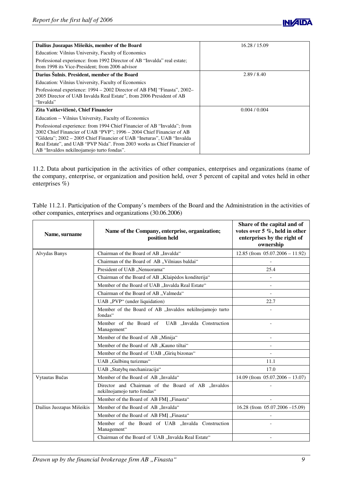

| Dailius Juozapas Mišeikis, member of the Board                                                                                                                                                                                                                                                                                                      | 16.28 / 15.09 |
|-----------------------------------------------------------------------------------------------------------------------------------------------------------------------------------------------------------------------------------------------------------------------------------------------------------------------------------------------------|---------------|
| Education: Vilnius University, Faculty of Economics                                                                                                                                                                                                                                                                                                 |               |
| Professional experience: from 1992 Director of AB "Invalda" real estate;<br>from 1998 its Vice-President; from 2006 advisor                                                                                                                                                                                                                         |               |
| Darius Šulnis, President, member of the Board                                                                                                                                                                                                                                                                                                       | 2.89/8.40     |
| Education: Vilnius University, Faculty of Economics                                                                                                                                                                                                                                                                                                 |               |
| Professional experience: 1994 – 2002 Director of AB FMI "Finasta", 2002–<br>2005 Director of UAB Invalda Real Estate", from 2006 President of AB<br>"Invalda"                                                                                                                                                                                       |               |
| Zita Vaitkevičienė, Chief Financier                                                                                                                                                                                                                                                                                                                 | 0.004 / 0.004 |
| Education – Vilnius University, Faculty of Economics                                                                                                                                                                                                                                                                                                |               |
| Professional experience: from 1994 Chief Financier of AB "Invalda"; from<br>2002 Chief Financier of UAB "PVP"; 1996 – 2004 Chief Financier of AB<br>"Gildeta": 2002 – 2005 Chief Financier of UAB "Ineturas", UAB "Invalda"<br>Real Estate", and UAB "PVP Nida". From 2003 works as Chief Financier of<br>AB "Invaldos nekilnojamojo turto fondas". |               |

11.2. Data about participation in the activities of other companies, enterprises and organizations (name of the company, enterprise, or organization and position held, over 5 percent of capital and votes held in other enterprises %)

Table 11.2.1. Participation of the Company's members of the Board and the Administration in the activities of other companies, enterprises and organizations (30.06.2006)

| Name, surname             | Name of the Company, enterprise, organization;<br>position held                   | Share of the capital and of<br>votes over 5 %, held in other<br>enterprises by the right of<br>ownership |
|---------------------------|-----------------------------------------------------------------------------------|----------------------------------------------------------------------------------------------------------|
| Alvydas Banys             | Chairman of the Board of AB "Invalda"                                             | 12.85 (from $05.07.2006 - 11.92$ )                                                                       |
|                           | Chairman of the Board of AB "Vilniaus baldai"                                     |                                                                                                          |
|                           | President of UAB "Nenuorama"                                                      | 25.4                                                                                                     |
|                           | Chairman of the Board of AB "Klaipėdos konditerija"                               |                                                                                                          |
|                           | Member of the Board of UAB "Invalda Real Estate"                                  | $\overline{\phantom{a}}$                                                                                 |
|                           | Chairman of the Board of AB "Valmeda"                                             |                                                                                                          |
|                           | UAB "PVP" (under liquidation)                                                     | 22.7                                                                                                     |
|                           | Member of the Board of AB "Invaldos nekilnojamojo turto<br>fondas"                |                                                                                                          |
|                           | Member of the Board of<br>UAB "Invalda Construction<br>Management"                |                                                                                                          |
|                           | Member of the Board of AB "Minija"                                                |                                                                                                          |
|                           | Member of the Board of AB "Kauno tiltai"                                          | $\blacksquare$                                                                                           |
|                           | Member of the Board of UAB "Girių bizonas"                                        |                                                                                                          |
|                           | UAB "Gulbinų turizmas"                                                            | 11.1                                                                                                     |
|                           | UAB "Statybų mechanizacija"                                                       | 17.0                                                                                                     |
| Vytautas Bučas            | Member of the Board of AB "Invalda"                                               | 14.09 (from $05.07.2006 - 13.07$ )                                                                       |
|                           | Director and Chairman of the Board of AB "Invaldos<br>nekilnojamojo turto fondas" |                                                                                                          |
|                           | Member of the Board of AB FMI "Finasta"                                           |                                                                                                          |
| Dailius Juozapas Mišeikis | Member of the Board of AB "Invalda"                                               | 16.28 (from $05.07.2006 - 15.09$ )                                                                       |
|                           | Member of the Board of AB FMI "Finasta"                                           |                                                                                                          |
|                           | Member of the Board of UAB "Invalda Construction<br>Management"                   |                                                                                                          |
|                           | Chairman of the Board of UAB "Invalda Real Estate"                                |                                                                                                          |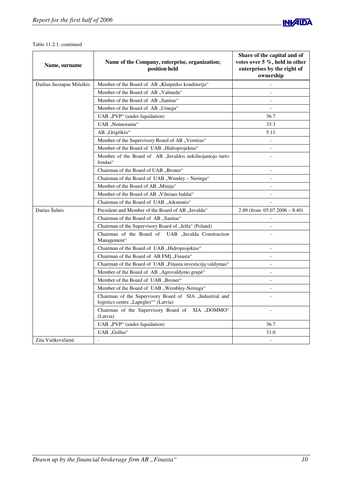

#### Table 11.2.1. continued

| Name, surname             | Name of the Company, enterprise, organization;<br>position held                                   | Share of the capital and of<br>votes over 5 %, held in other<br>enterprises by the right of<br>ownership |
|---------------------------|---------------------------------------------------------------------------------------------------|----------------------------------------------------------------------------------------------------------|
| Dailius Juozapas Mišeikis | Member of the Board of AB "Klaipėdos konditerija"                                                 |                                                                                                          |
|                           | Member of the Board of AB "Valmeda"                                                               |                                                                                                          |
|                           | Member of the Board of AB "Sanitas"                                                               |                                                                                                          |
|                           | Member of the Board of AB "Umega"                                                                 |                                                                                                          |
|                           | UAB "PVP" (under liquidation)                                                                     | 36.7                                                                                                     |
|                           | UAB "Nenuorama"                                                                                   | 33.3                                                                                                     |
|                           | AB "Grigiškės"                                                                                    | 5.11                                                                                                     |
|                           | Member of the Supervisory Board of AB "Vernitas"                                                  | $\blacksquare$                                                                                           |
|                           | Member of the Board of UAB "Hidroprojektas"                                                       | $\overline{a}$                                                                                           |
|                           | Member of the Board of AB "Invaldos nekilnojamojo turto<br>fondas"                                |                                                                                                          |
|                           | Chairman of the Board of UAB "Broner"                                                             | $\overline{a}$                                                                                           |
|                           | Chairman of the Board of UAB "Wemley - Neringa"                                                   | $\overline{\phantom{a}}$                                                                                 |
|                           | Member of the Board of AB "Minija"                                                                | $\overline{\phantom{a}}$                                                                                 |
|                           |                                                                                                   |                                                                                                          |
|                           | Chairman of the Board of UAB "Aikstentis"                                                         |                                                                                                          |
| Darius Šulnis             | President and Member of the Board of AB "Invalda"                                                 | $2.89$ (from $05.07.2006 - 8.40$ )                                                                       |
|                           | Chairman of the Board of AB "Sanitas"                                                             |                                                                                                          |
|                           | Chairman of the Supervisory Board of "Jelfa" (Poland)                                             |                                                                                                          |
|                           | Chairman of the Board of UAB "Invalda Construction<br>Management"                                 |                                                                                                          |
|                           | Chairman of the Board of UAB "Hidroprojektas"                                                     | $\overline{\phantom{a}}$                                                                                 |
|                           | Chairman of the Board of AB FMI "Finasta"                                                         | $\overline{\phantom{a}}$                                                                                 |
|                           | Chairman of the Board of UAB, Finasta investicijų valdymas"                                       | $\overline{\phantom{a}}$                                                                                 |
|                           | Member of the Board of AB "Agrovaldymo grupė"                                                     | $\overline{\phantom{a}}$                                                                                 |
|                           | Member of the Board of UAB "Broner"                                                               | $\overline{a}$                                                                                           |
|                           | Member of the Board of UAB "Wembley-Neringa"                                                      | $\overline{\phantom{a}}$                                                                                 |
|                           | Chairman of the Supervisory Board of SIA "Industrial and<br>logistics centre "Lapegles"" (Latvia) |                                                                                                          |
|                           | Chairman of the Supervisory Board of SIA "DOMMO"<br>(Latvia)                                      |                                                                                                          |
|                           | UAB "PVP" (under liquidation)                                                                     | 36.7                                                                                                     |
|                           | UAB "Golfas"                                                                                      | 31.0                                                                                                     |
| Zita Vaitkevičienė        |                                                                                                   | $\blacksquare$                                                                                           |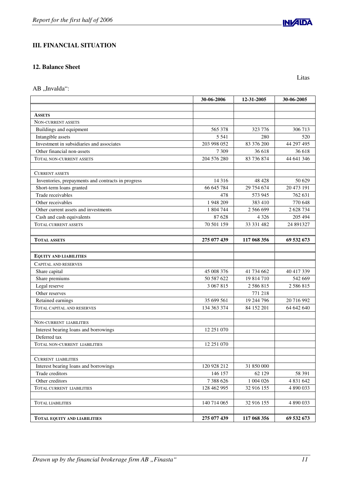# **III. FINANCIAL SITUATION**

# **12. Balance Sheet**

AB ,,Invalda":

|                                                                | 30-06-2006  | 12-31-2005  | 30-06-2005    |
|----------------------------------------------------------------|-------------|-------------|---------------|
|                                                                |             |             |               |
| <b>ASSETS</b><br><b>NON-CURRENT ASSETS</b>                     |             |             |               |
| Buildings and equipment                                        | 565 378     | 323 776     | 306 713       |
|                                                                | 5 5 4 1     | 280         | 520           |
| Intangible assets<br>Investment in subsidiaries and associates | 203 998 052 | 83 376 200  | 44 297 495    |
| Other financial non-assets                                     | 7 3 0 9     | 36 618      | 36 618        |
|                                                                | 204 576 280 | 83 736 874  | 44 641 346    |
| TOTAL NON-CURRENT ASSETS                                       |             |             |               |
| <b>CURRENT ASSETS</b>                                          |             |             |               |
| Inventories, prepayments and contracts in progress             | 14 3 16     | 48 4 28     | 50 629        |
| Short-term loans granted                                       | 66 645 784  | 29 754 674  | 20 473 191    |
| Trade receivables                                              | 478         | 573 945     | 762 631       |
| Other receivables                                              | 1 948 209   | 383 410     | 770 648       |
| Other current assets and investments                           | 1 804 744   | 2 566 699   | 2 628 734     |
| Cash and cash equivalents                                      | 87 628      | 4 3 2 6     | 205 494       |
| <b>TOTAL CURRENT ASSETS</b>                                    | 70 501 159  | 33 331 482  | 24 891327     |
| <b>TOTAL ASSETS</b>                                            | 275 077 439 | 117 068 356 | 69 532 673    |
|                                                                |             |             |               |
| <b>EQUITY AND LIABILITIES</b>                                  |             |             |               |
| <b>CAPITAL AND RESERVES</b>                                    |             |             |               |
| Share capital                                                  | 45 008 376  | 41 734 662  | 40 417 339    |
| Share premiums                                                 | 50 587 622  | 19 814 710  | 542 669       |
| Legal reserve                                                  | 3 067 815   | 2 586 815   | 2586815       |
| Other reserves                                                 |             | 771 218     |               |
| Retained earnings                                              | 35 699 561  | 19 244 796  | 20 716 992    |
| TOTAL CAPITAL AND RESERVES                                     | 134 363 374 | 84 152 201  | 64 642 640    |
| <b>NON-CURRENT LIABILITIES</b>                                 |             |             |               |
| Interest bearing loans and borrowings                          | 12 251 070  |             |               |
| Deferred tax                                                   |             |             |               |
| <b>TOTAL NON-CURRENT LIABILITIES</b>                           | 12 251 070  |             |               |
|                                                                |             |             |               |
| <b>CURRENT LIABILITIES</b>                                     |             |             |               |
| Interest bearing loans and borrowings                          | 120 928 212 | 31 850 000  |               |
| Trade creditors                                                | 146 157     | 62 129      | 58 391        |
| Other creditors                                                | 7 388 626   | 1 004 026   | 4 8 3 1 6 4 2 |
| <b>TOTAL CURRENT LIABILITIES</b>                               | 128 462 995 | 32 916 155  | 4 890 033     |
| <b>TOTAL LIABILITIES</b>                                       | 140 714 065 | 32 916 155  | 4 890 033     |
|                                                                |             |             |               |
| <b>TOTAL EQUITY AND LIABILITIES</b>                            | 275 077 439 | 117 068 356 | 69 532 673    |



Litas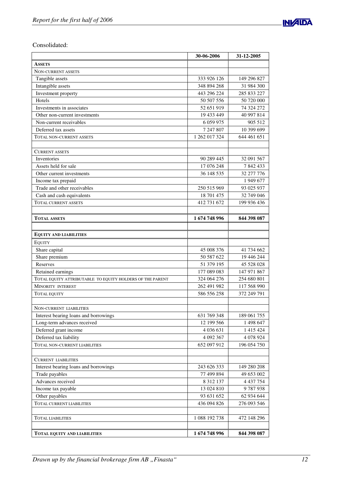

Consolidated:

|                                                           | 30-06-2006    | 31-12-2005  |
|-----------------------------------------------------------|---------------|-------------|
| <b>ASSETS</b>                                             |               |             |
| NON-CURRENT ASSETS                                        |               |             |
| Tangible assets                                           | 333 926 126   | 149 296 827 |
| Intangible assets                                         | 348 894 268   | 31 984 300  |
| Investment property                                       | 443 296 224   | 285 833 227 |
| Hotels                                                    | 50 507 556    | 50 720 000  |
| Investments in associates                                 | 52 651 919    | 74 324 272  |
| Other non-current investments                             | 19 433 449    | 40 997 814  |
| Non-current receivables                                   | 6 0 59 9 75   | 905 512     |
| Deferred tax assets                                       | 7 247 807     | 10 399 699  |
| <b>TOTAL NON-CURRENT ASSETS</b>                           | 1 262 017 324 | 644 461 651 |
|                                                           |               |             |
| <b>CURRENT ASSETS</b>                                     |               |             |
| Inventories                                               | 90 289 445    | 32 091 567  |
| Assets held for sale                                      | 17 076 248    | 7842433     |
| Other current investments                                 | 36 148 535    | 32 277 776  |
| Income tax prepaid                                        |               | 1 949 677   |
| Trade and other receivables                               | 250 515 969   | 93 025 937  |
| Cash and cash equivalents                                 | 18 701 475    | 32 749 046  |
| <b>TOTAL CURRENT ASSETS</b>                               | 412 731 672   | 199 936 436 |
|                                                           |               |             |
| <b>TOTAL ASSETS</b>                                       | 1674748996    | 844 398 087 |
|                                                           |               |             |
| <b>EQUITY AND LIABILITIES</b>                             |               |             |
| <b>EQUITY</b>                                             |               |             |
| Share capital                                             | 45 008 376    | 41 734 662  |
| Share premium                                             | 50 587 622    | 19 446 244  |
| Reserves                                                  | 51 379 195    | 45 528 028  |
| Retained earnings                                         | 177 089 083   | 147 971 867 |
| TOTAL EQUITY ATTRIBUTABLE TO EQUITY HOLDERS OF THE PARENT | 324 064 276   | 254 680 801 |
| <b>MINORITY INTEREST</b>                                  | 262 491 982   | 117 568 990 |
| <b>TOTAL EQUITY</b>                                       | 586 556 258   | 372 249 791 |
|                                                           |               |             |
| NON-CURRENT LIABILITIES                                   |               |             |
| Interest bearing loans and borrowings                     | 631 769 348   | 189 061 755 |
| Long-term advances received                               | 12 199 566    | 1 498 647   |
| Deferred grant income                                     | 4 0 3 6 6 3 1 | 1 415 424   |
| Deferred tax liability                                    | 4 092 367     | 4 0 78 9 24 |
| TOTAL NON-CURRENT LIABILITIES                             | 652 097 912   | 196 054 750 |
|                                                           |               |             |
| <b>CURRENT LIABILITIES</b>                                |               |             |
| Interest bearing loans and borrowings                     | 243 626 333   | 149 280 208 |
| Trade payables                                            | 77 499 894    | 49 653 002  |
| Advances received                                         | 8 3 1 2 1 3 7 | 4 437 754   |
| Income tax payable                                        | 13 024 810    | 9787938     |
| Other payables                                            | 93 631 652    | 62 934 644  |
| TOTAL CURRENT LIABILITIES                                 | 436 094 826   | 276 093 546 |
|                                                           |               |             |
| <b>TOTAL LIABILITIES</b>                                  | 1 088 192 738 | 472 148 296 |
|                                                           |               |             |
| TOTAL EQUITY AND LIABILITIES                              | 1674748996    | 844 398 087 |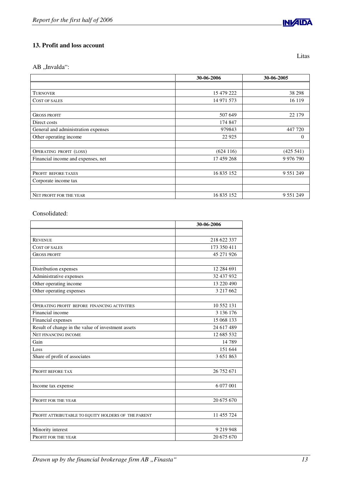# **13. Profit and loss account**

AB "Invalda":

| 30-06-2006 | 30-06-2005    |
|------------|---------------|
|            |               |
| 15 479 222 | 38 298        |
| 14 971 573 | 16 119        |
|            |               |
| 507 649    | 22 179        |
| 174 847    |               |
| 979843     | 447 720       |
| 22 9 25    | $\Omega$      |
|            |               |
| (624116)   | (425 541)     |
| 17 459 268 | 9 9 7 6 7 9 0 |
|            |               |
| 16 835 152 | 9 5 5 1 2 4 9 |
|            |               |
|            |               |
| 16 835 152 | 9 5 5 1 2 4 9 |
|            |               |

## Consolidated:

| 218 622 337<br><b>REVENUE</b><br>173 350 411<br><b>COST OF SALES</b><br>45 271 926<br><b>GROSS PROFIT</b><br>12 284 691<br>Distribution expenses<br>Administrative expenses<br>32 437 932<br>Other operating income<br>13 220 490<br>Other operating expenses<br>3 217 662<br>10 552 131<br><b>OPERATING PROFIT BEFORE FINANCING ACTIVITIES</b><br>Financial income<br>3 136 176<br>15 068 133<br>Financial expenses<br>Result of change in the value of investment assets<br>24 617 489<br>NET FINANCING INCOME<br>12 685 532<br>Gain<br>14789<br>151 644<br>Loss<br>Share of profit of associates<br>3 651 863<br>26 752 671<br>PROFIT BEFORE TAX<br>6 077 001<br>Income tax expense<br>20 675 670<br>PROFIT FOR THE YEAR<br>11 455 724<br>PROFIT ATTRIBUTABLE TO EQUITY HOLDERS OF THE PARENT<br>9 219 948<br>Minority interest<br>20 675 670<br>PROFIT FOR THE YEAR | 30-06-2006 |
|-------------------------------------------------------------------------------------------------------------------------------------------------------------------------------------------------------------------------------------------------------------------------------------------------------------------------------------------------------------------------------------------------------------------------------------------------------------------------------------------------------------------------------------------------------------------------------------------------------------------------------------------------------------------------------------------------------------------------------------------------------------------------------------------------------------------------------------------------------------------------|------------|
|                                                                                                                                                                                                                                                                                                                                                                                                                                                                                                                                                                                                                                                                                                                                                                                                                                                                         |            |
|                                                                                                                                                                                                                                                                                                                                                                                                                                                                                                                                                                                                                                                                                                                                                                                                                                                                         |            |
|                                                                                                                                                                                                                                                                                                                                                                                                                                                                                                                                                                                                                                                                                                                                                                                                                                                                         |            |
|                                                                                                                                                                                                                                                                                                                                                                                                                                                                                                                                                                                                                                                                                                                                                                                                                                                                         |            |
|                                                                                                                                                                                                                                                                                                                                                                                                                                                                                                                                                                                                                                                                                                                                                                                                                                                                         |            |
|                                                                                                                                                                                                                                                                                                                                                                                                                                                                                                                                                                                                                                                                                                                                                                                                                                                                         |            |
|                                                                                                                                                                                                                                                                                                                                                                                                                                                                                                                                                                                                                                                                                                                                                                                                                                                                         |            |
|                                                                                                                                                                                                                                                                                                                                                                                                                                                                                                                                                                                                                                                                                                                                                                                                                                                                         |            |
|                                                                                                                                                                                                                                                                                                                                                                                                                                                                                                                                                                                                                                                                                                                                                                                                                                                                         |            |
|                                                                                                                                                                                                                                                                                                                                                                                                                                                                                                                                                                                                                                                                                                                                                                                                                                                                         |            |
|                                                                                                                                                                                                                                                                                                                                                                                                                                                                                                                                                                                                                                                                                                                                                                                                                                                                         |            |
|                                                                                                                                                                                                                                                                                                                                                                                                                                                                                                                                                                                                                                                                                                                                                                                                                                                                         |            |
|                                                                                                                                                                                                                                                                                                                                                                                                                                                                                                                                                                                                                                                                                                                                                                                                                                                                         |            |
|                                                                                                                                                                                                                                                                                                                                                                                                                                                                                                                                                                                                                                                                                                                                                                                                                                                                         |            |
|                                                                                                                                                                                                                                                                                                                                                                                                                                                                                                                                                                                                                                                                                                                                                                                                                                                                         |            |
|                                                                                                                                                                                                                                                                                                                                                                                                                                                                                                                                                                                                                                                                                                                                                                                                                                                                         |            |
|                                                                                                                                                                                                                                                                                                                                                                                                                                                                                                                                                                                                                                                                                                                                                                                                                                                                         |            |
|                                                                                                                                                                                                                                                                                                                                                                                                                                                                                                                                                                                                                                                                                                                                                                                                                                                                         |            |
|                                                                                                                                                                                                                                                                                                                                                                                                                                                                                                                                                                                                                                                                                                                                                                                                                                                                         |            |
|                                                                                                                                                                                                                                                                                                                                                                                                                                                                                                                                                                                                                                                                                                                                                                                                                                                                         |            |
|                                                                                                                                                                                                                                                                                                                                                                                                                                                                                                                                                                                                                                                                                                                                                                                                                                                                         |            |
|                                                                                                                                                                                                                                                                                                                                                                                                                                                                                                                                                                                                                                                                                                                                                                                                                                                                         |            |
|                                                                                                                                                                                                                                                                                                                                                                                                                                                                                                                                                                                                                                                                                                                                                                                                                                                                         |            |
|                                                                                                                                                                                                                                                                                                                                                                                                                                                                                                                                                                                                                                                                                                                                                                                                                                                                         |            |
|                                                                                                                                                                                                                                                                                                                                                                                                                                                                                                                                                                                                                                                                                                                                                                                                                                                                         |            |
|                                                                                                                                                                                                                                                                                                                                                                                                                                                                                                                                                                                                                                                                                                                                                                                                                                                                         |            |
|                                                                                                                                                                                                                                                                                                                                                                                                                                                                                                                                                                                                                                                                                                                                                                                                                                                                         |            |
|                                                                                                                                                                                                                                                                                                                                                                                                                                                                                                                                                                                                                                                                                                                                                                                                                                                                         |            |
|                                                                                                                                                                                                                                                                                                                                                                                                                                                                                                                                                                                                                                                                                                                                                                                                                                                                         |            |

*Drawn up by the financial brokerage firm AB "Finasta" 13* 



Litas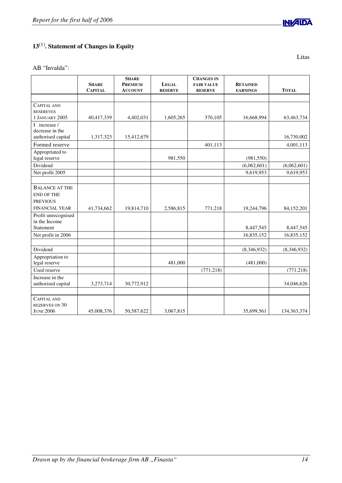# **13** (1) **. Statement of Changes in Equity**

AB "Invalda":

|                                                                 | <b>SHARE</b><br><b>CAPITAL</b> | <b>SHARE</b><br><b>PREMIUM</b><br><b>ACCOUNT</b> | <b>LEGAL</b><br><b>RESERVE</b> | <b>CHANGES IN</b><br><b>FAIR VALUE</b><br><b>RESERVE</b> | <b>RETAINED</b><br><b>EARNINGS</b> | <b>TOTAL</b>  |
|-----------------------------------------------------------------|--------------------------------|--------------------------------------------------|--------------------------------|----------------------------------------------------------|------------------------------------|---------------|
|                                                                 |                                |                                                  |                                |                                                          |                                    |               |
| <b>CAPITAL AND</b><br><b>RESEREVES</b>                          |                                |                                                  |                                |                                                          |                                    |               |
| <b>1 JANUARY 2005</b>                                           | 40,417,339                     | 4,402,031                                        | 1,605,265                      | 370,105                                                  | 16,668,994                         | 63,463,734    |
| I increase /<br>decrease in the<br>authorised capital           | 1,317,323                      | 15,412,679                                       |                                |                                                          |                                    | 16,730,002    |
| Formed reserve                                                  |                                |                                                  |                                | 401,113                                                  |                                    | 4,001,113     |
| Appropriated to<br>legal reserve                                |                                |                                                  | 981,550                        |                                                          | (981, 550)                         |               |
| Dividend                                                        |                                |                                                  |                                |                                                          | (6,062,601)                        | (6,062,601)   |
| Net profit 2005                                                 |                                |                                                  |                                |                                                          | 9,619,953                          | 9,619,953     |
|                                                                 |                                |                                                  |                                |                                                          |                                    |               |
| <b>BALANCE AT THE</b><br><b>END OF THE</b><br><b>PREVIOUS</b>   |                                |                                                  |                                |                                                          |                                    |               |
| <b>FINANCIAL YEAR</b>                                           | 41,734,662                     | 19,814,710                                       | 2,586,815                      | 771,218                                                  | 19,244,796                         | 84,152,201    |
| Profit unrecognised<br>in the Income<br>Statement               |                                |                                                  |                                |                                                          | 8,447,545                          | 8,447,545     |
| Net profit in 2006                                              |                                |                                                  |                                |                                                          | 16,835,152                         | 16,835,152    |
|                                                                 |                                |                                                  |                                |                                                          |                                    |               |
| Dividend                                                        |                                |                                                  |                                |                                                          | (8,346,932)                        | (8,346,932)   |
| Appropriation to<br>legal reserve                               |                                |                                                  | 481,000                        |                                                          | (481,000)                          |               |
| Used reserve                                                    |                                |                                                  |                                | (771, 218)                                               |                                    | (771, 218)    |
| Increase in the<br>authorised capital                           | 3,273,714                      | 30,772,912                                       |                                |                                                          |                                    | 34,046,626    |
| <b>CAPITAL AND</b><br><b>REZERVES ON 30</b><br><b>JUNE 2006</b> | 45,008,376                     | 50,587,622                                       | 3,067,815                      |                                                          | 35,699,561                         | 134, 363, 374 |

**INVAIDA** 

Litas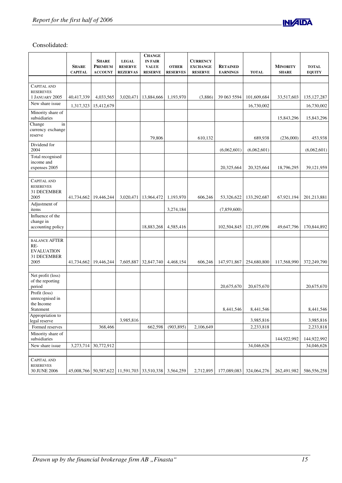

# Consolidated:

|                                                                         | <b>SHARE</b><br><b>CAPITAL</b> | <b>SHARE</b><br><b>PREMIUM</b><br><b>ACCOUNT</b>      | <b>LEGAL</b><br><b>RESERVE</b><br><b>REZERVAS</b> | <b>CHANGE</b><br><b>IN FAIR</b><br><b>VALUE</b><br><b>RESERVE</b> | <b>OTHER</b><br><b>RESERVES</b> | <b>CURRENCY</b><br><b>EXCHANGE</b><br><b>RESERVE</b> | <b>RETAINED</b><br><b>EARNINGS</b> | <b>TOTAL</b>           | <b>MINORITY</b><br><b>SHARE</b> | <b>TOTAL</b><br><b>EQUITY</b> |
|-------------------------------------------------------------------------|--------------------------------|-------------------------------------------------------|---------------------------------------------------|-------------------------------------------------------------------|---------------------------------|------------------------------------------------------|------------------------------------|------------------------|---------------------------------|-------------------------------|
|                                                                         |                                |                                                       |                                                   |                                                                   |                                 |                                                      |                                    |                        |                                 |                               |
| <b>CAPITAL AND</b><br><b>RESEREVES</b>                                  |                                |                                                       |                                                   |                                                                   |                                 |                                                      |                                    |                        |                                 |                               |
| 1 JANUARY 2005                                                          | 40,417,339                     | 4,033,565                                             | 3,020,471                                         | 13,884,666                                                        | 1,193,970                       | (3,886)                                              | 39 063 5594                        | 101,609,684            | 33,517,603                      | 135, 127, 287                 |
| New share issue                                                         | 1,317,323                      | 15,412,679                                            |                                                   |                                                                   |                                 |                                                      |                                    | 16,730,002             |                                 | 16,730,002                    |
| Minority share of<br>subsidiaries                                       |                                |                                                       |                                                   |                                                                   |                                 |                                                      |                                    |                        | 15,843,296                      | 15,843,296                    |
| in<br>Change<br>currency exchange<br>reserve                            |                                |                                                       |                                                   | 79,806                                                            |                                 | 610,132                                              |                                    | 689,938                | (236,000)                       | 453,938                       |
| Dividend for<br>2004                                                    |                                |                                                       |                                                   |                                                                   |                                 |                                                      | (6,062,601)                        | (6,062,601)            |                                 | (6,062,601)                   |
| Total recognised<br>income and<br>expenses 2005                         |                                |                                                       |                                                   |                                                                   |                                 |                                                      | 20,325,664                         | 20,325,664             | 18,796,295                      | 39,121,959                    |
|                                                                         |                                |                                                       |                                                   |                                                                   |                                 |                                                      |                                    |                        |                                 |                               |
| <b>CAPITAL AND</b><br><b>RESEREVES</b><br>31 DECEMBER<br>2005           | 41,734,662                     | 19,446,244                                            | 3,020,471                                         | 13,964,472                                                        | 1,193,970                       | 606,246                                              | 53,326,622                         | 133,292,687            | 67,921,194                      | 201,213,881                   |
| Adjustment of                                                           |                                |                                                       |                                                   |                                                                   |                                 |                                                      |                                    |                        |                                 |                               |
| items                                                                   |                                |                                                       |                                                   |                                                                   | 3,274,184                       |                                                      | (7,859,600)                        |                        |                                 |                               |
| Influence of the<br>change in<br>accounting policy                      |                                |                                                       |                                                   | 18,883,268                                                        | 4,585,416                       |                                                      | 102,504,845                        | 121, 197, 096          | 49,647,796                      | 170,844,892                   |
|                                                                         |                                |                                                       |                                                   |                                                                   |                                 |                                                      |                                    |                        |                                 |                               |
| <b>BALANCE AFTER</b><br>RE-<br><b>EVALUATION</b><br>31 DECEMBER<br>2005 | 41,734,662                     | 19,446,244                                            | 7,605,887                                         | 32,847,740                                                        | 4,468,154                       | 606,246                                              | 147,971,867                        | 254,680,800            | 117,568,990                     | 372,249,790                   |
|                                                                         |                                |                                                       |                                                   |                                                                   |                                 |                                                      |                                    |                        |                                 |                               |
| Net profit (loss)<br>of the reporting<br>period                         |                                |                                                       |                                                   |                                                                   |                                 |                                                      | 20,675,670                         | 20,675,670             |                                 | 20,675,670                    |
| Profit (loss)<br>unrecognised in<br>the Income<br>Statement             |                                |                                                       |                                                   |                                                                   |                                 |                                                      | 8,441,546                          | 8,441,546              |                                 | 8,441,546                     |
| Appropriation to                                                        |                                |                                                       |                                                   |                                                                   |                                 |                                                      |                                    |                        |                                 |                               |
| legal reserve<br>Formed reserves                                        |                                | 368,466                                               | 3,985,816                                         | 662,598                                                           | (903, 895)                      | 2,106,649                                            |                                    | 3,985,816<br>2,233,818 |                                 | 3,985,816<br>2,233,818        |
| Minority share of                                                       |                                |                                                       |                                                   |                                                                   |                                 |                                                      |                                    |                        |                                 |                               |
| subsidiaries<br>New share issue                                         | 3,273,714                      | 30,772,912                                            |                                                   |                                                                   |                                 |                                                      |                                    | 34,046,626             | 144,922,992                     | 144,922,992<br>34,046,626     |
|                                                                         |                                |                                                       |                                                   |                                                                   |                                 |                                                      |                                    |                        |                                 |                               |
| <b>CAPITAL AND</b><br><b>RESEREVES</b>                                  |                                |                                                       |                                                   |                                                                   |                                 |                                                      |                                    |                        |                                 |                               |
| 30 JUNE 2006                                                            |                                | 45,008,766 50,587,622 11,591,703 33,510,338 3,564,259 |                                                   |                                                                   |                                 |                                                      | 2,712,895 177,089,083 324,064,276  |                        | 262,491,982                     | 586,556,258                   |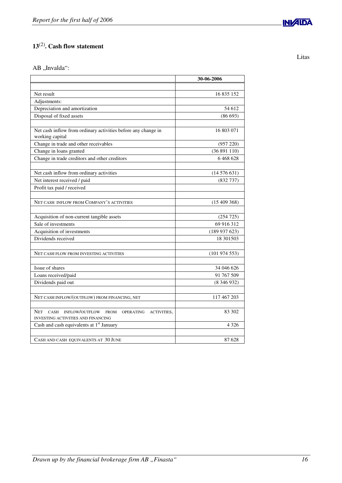# **13** (2) **. Cash flow statement**

AB ,,Invalda":

|                                                                                                                                            | 30-06-2006       |
|--------------------------------------------------------------------------------------------------------------------------------------------|------------------|
|                                                                                                                                            |                  |
| Net result                                                                                                                                 | 16 835 152       |
| Adjustments:                                                                                                                               |                  |
| Depreciation and amortization                                                                                                              | 54 612           |
| Disposal of fixed assets                                                                                                                   | (86693)          |
|                                                                                                                                            |                  |
| Net cash inflow from ordinary activities before any change in<br>working capital                                                           | 16 803 071       |
| Change in trade and other receivables                                                                                                      | (957 220)        |
| Change in loans granted                                                                                                                    | (36891110)       |
| Change in trade creditors and other creditors                                                                                              | 6468628          |
|                                                                                                                                            |                  |
| Net cash inflow from ordinary activities                                                                                                   | (14576631)       |
| Net interest received / paid                                                                                                               | (832 737)        |
| Profit tax paid / received                                                                                                                 |                  |
|                                                                                                                                            |                  |
| NET CASH INFLOW FROM COMPANY'S ACTIVITIES                                                                                                  | $(15\,409\,368)$ |
|                                                                                                                                            |                  |
| Acquisition of non-current tangible assets                                                                                                 | (254725)         |
| Sale of investments                                                                                                                        | 69 916 312       |
| Acquisition of investments                                                                                                                 | (189937623)      |
| Dividends received                                                                                                                         | 18 30 15 03      |
|                                                                                                                                            |                  |
| NET CASH FLOW FROM INVESTING ACTIVITIES                                                                                                    | (101974553)      |
|                                                                                                                                            |                  |
| Issue of shares                                                                                                                            | 34 046 626       |
| Loans received/paid                                                                                                                        | 91 767 509       |
| Dividends paid out                                                                                                                         | (8346932)        |
|                                                                                                                                            |                  |
| NET CASH INFLOW/(OUTFLOW) FROM FINANCING, NET                                                                                              | 117 467 203      |
|                                                                                                                                            |                  |
| <b>NET</b><br><b>CASH</b><br>INFLOW/OUTFLOW<br>ACTIVITIES,<br><b>FROM</b><br><b>OPERATING</b><br><b>INVESTING ACTIVITIES AND FINANCING</b> | 83 302           |
| Cash and cash equivalents at 1 <sup>st</sup> January                                                                                       | 4 3 2 6          |
|                                                                                                                                            |                  |
| CASH AND CASH EQUIVALENTS AT 30 JUNE                                                                                                       | 87 628           |

Litas

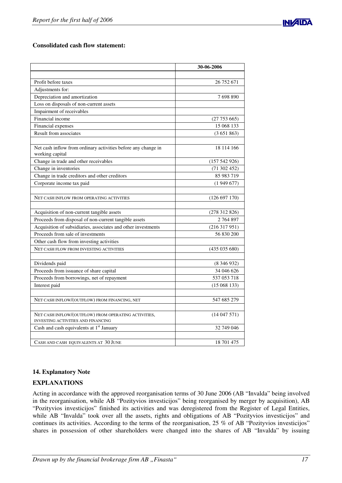

# **Consolidated cash flow statement:**

|                                                                                  | 30-06-2006      |
|----------------------------------------------------------------------------------|-----------------|
|                                                                                  |                 |
| Profit before taxes                                                              | 26 752 671      |
| Adjustments for:                                                                 |                 |
| Depreciation and amortization                                                    | 7698890         |
| Loss on disposals of non-current assets                                          |                 |
| Impairment of receivables                                                        |                 |
| Financial income                                                                 | (27753665)      |
| Financial expenses                                                               | 15 068 133      |
| Result from associates                                                           | (3651863)       |
|                                                                                  |                 |
| Net cash inflow from ordinary activities before any change in<br>working capital | 18 114 166      |
| Change in trade and other receivables                                            | (157542926)     |
| Change in inventories                                                            | (71302452)      |
| Change in trade creditors and other creditors                                    | 85 983 719      |
| Corporate income tax paid                                                        | (1949677)       |
|                                                                                  |                 |
| NET CASH INFLOW FROM OPERATING ACTIVITIES                                        | (126 697 170)   |
|                                                                                  |                 |
| Acquisition of non-current tangible assets                                       | (278312826)     |
| Proceeds from disposal of non-current tangible assets                            | 2 764 897       |
| Acquisition of subsidiaries, associates and other investments                    | (216317951)     |
| Proceeds from sale of investments                                                | 56 830 200      |
| Other cash flow from investing activities                                        |                 |
| NET CASH FLOW FROM INVESTING ACTIVITIES                                          | (435035680)     |
|                                                                                  |                 |
| Dividends paid                                                                   | $(8\,346\,932)$ |
| Proceeds from issuance of share capital                                          | 34 046 626      |
| Proceeds from borrowings, net of repayment                                       | 537 053 718     |
| Interest paid                                                                    | (15068133)      |
|                                                                                  |                 |
| NET CASH INFLOW/(OUTFLOW) FROM FINANCING, NET                                    | 547 685 279     |
|                                                                                  |                 |
| NET CASH INFLOW/(OUTFLOW) FROM OPERATING ACTIVITIES,                             | (14047571)      |
| <b>INVESTING ACTIVITIES AND FINANCING</b>                                        |                 |
| Cash and cash equivalents at 1 <sup>st</sup> January                             | 32 749 046      |
|                                                                                  |                 |
| CASH AND CASH EQUIVALENTS AT 30 JUNE                                             | 18 701 475      |

# **14. Explanatory Note**

# **EXPLANATIONS**

Acting in accordance with the approved reorganisation terms of 30 June 2006 (AB "Invalda" being involved in the reorganisation, while AB "Pozityvios investicijos" being reorganised by merger by acquisition), AB "Pozityvios investicijos" finished its activities and was deregistered from the Register of Legal Entities, while AB "Invalda" took over all the assets, rights and obligations of AB "Pozityvios investicijos" and continues its activities. According to the terms of the reorganisation, 25 % of AB "Pozityvios investicijos" shares in possession of other shareholders were changed into the shares of AB "Invalda" by issuing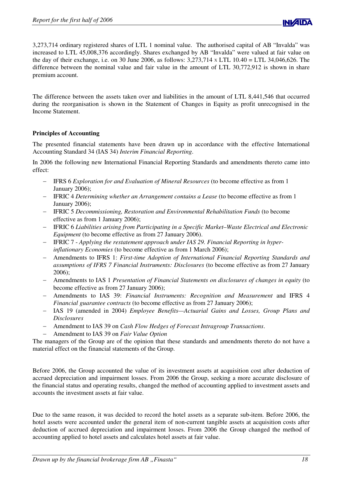

3,273,714 ordinary registered shares of LTL 1 nominal value. The authorised capital of AB "Invalda" was increased to LTL 45,008,376 accordingly. Shares exchanged by AB "Invalda" were valued at fair value on the day of their exchange, i.e. on 30 June 2006, as follows: 3,273,714 <sup>X</sup> LTL 10.40 = LTL 34,046,626. The difference between the nominal value and fair value in the amount of LTL 30,772,912 is shown in share premium account.

The difference between the assets taken over and liabilities in the amount of LTL 8,441,546 that occurred during the reorganisation is shown in the Statement of Changes in Equity as profit unrecognised in the Income Statement.

# **Principles of Accounting**

The presented financial statements have been drawn up in accordance with the effective International Accounting Standard 34 (IAS 34) *Interim Financial Reporting*.

In 2006 the following new International Financial Reporting Standards and amendments thereto came into effect:

- IFRS 6 *Exploration for and Evaluation of Mineral Resources* (to become effective as from 1 January 2006);
- IFRIC 4 *Determining whether an Arrangement contains a Lease* (to become effective as from 1 January 2006);
- IFRIC 5 *Decommissioning, Restoration and Environmental Rehabilitation Funds* (to become effective as from 1 January 2006);
- IFRIC 6 *Liabilities arising from Participating in a Specific Market–Waste Electrical and Electronic Equipment* (to become effective as from 27 January 2006).
- IFRIC 7 *Applying the restatement approach under IAS 29. Financial Reporting in hyperinflationary Economies* (to become effective as from 1 March 2006);
- Amendments to IFRS 1: *First-time Adoption of International Financial Reporting Standards and assumptions of IFRS 7 Financial Instruments: Disclosures* (to become effective as from 27 January 2006);
- Amendments to IAS 1 *Presentation of Financial Statements on disclosures of changes in equity* (to become effective as from 27 January 2006);
- Amendments to IAS 39: *Financial Instruments: Recognition and Measurement* and IFRS 4 *Financial guarantee contracts* (to become effective as from 27 January 2006);
- IAS 19 (amended in 2004) *Employee Benefits—Actuarial Gains and Losses, Group Plans and Disclosures*
- Amendment to IAS 39 on *Cash Flow Hedges of Forecast Intragroup Transactions*.
- Amendment to IAS 39 on *Fair Value Option*

The managers of the Group are of the opinion that these standards and amendments thereto do not have a material effect on the financial statements of the Group.

Before 2006, the Group accounted the value of its investment assets at acquisition cost after deduction of accrued depreciation and impairment losses. From 2006 the Group, seeking a more accurate disclosure of the financial status and operating results, changed the method of accounting applied to investment assets and accounts the investment assets at fair value.

Due to the same reason, it was decided to record the hotel assets as a separate sub-item. Before 2006, the hotel assets were accounted under the general item of non-current tangible assets at acquisition costs after deduction of accrued depreciation and impairment losses. From 2006 the Group changed the method of accounting applied to hotel assets and calculates hotel assets at fair value.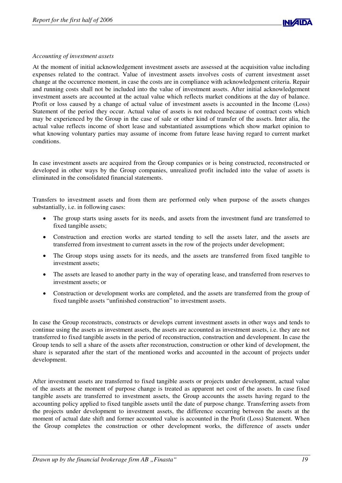

## *Accounting of investment assets*

At the moment of initial acknowledgement investment assets are assessed at the acquisition value including expenses related to the contract. Value of investment assets involves costs of current investment asset change at the occurrence moment, in case the costs are in compliance with acknowledgement criteria. Repair and running costs shall not be included into the value of investment assets. After initial acknowledgement investment assets are accounted at the actual value which reflects market conditions at the day of balance. Profit or loss caused by a change of actual value of investment assets is accounted in the Income (Loss) Statement of the period they occur. Actual value of assets is not reduced because of contract costs which may be experienced by the Group in the case of sale or other kind of transfer of the assets. Inter alia, the actual value reflects income of short lease and substantiated assumptions which show market opinion to what knowing voluntary parties may assume of income from future lease having regard to current market conditions.

In case investment assets are acquired from the Group companies or is being constructed, reconstructed or developed in other ways by the Group companies, unrealized profit included into the value of assets is eliminated in the consolidated financial statements.

Transfers to investment assets and from them are performed only when purpose of the assets changes substantially, i.e. in following cases:

- $\bullet$  The group starts using assets for its needs, and assets from the investment fund are transferred to fixed tangible assets;
- $\bullet$  Construction and erection works are started tending to sell the assets later, and the assets are transferred from investment to current assets in the row of the projects under development;
- $\bullet$  The Group stops using assets for its needs, and the assets are transferred from fixed tangible to investment assets;
- $\bullet$  The assets are leased to another party in the way of operating lease, and transferred from reserves to investment assets; or
- $\bullet$  Construction or development works are completed, and the assets are transferred from the group of fixed tangible assets "unfinished construction" to investment assets.

In case the Group reconstructs, constructs or develops current investment assets in other ways and tends to continue using the assets as investment assets, the assets are accounted as investment assets, i.e. they are not transferred to fixed tangible assets in the period of reconstruction, construction and development. In case the Group tends to sell a share of the assets after reconstruction, construction or other kind of development, the share is separated after the start of the mentioned works and accounted in the account of projects under development.

After investment assets are transferred to fixed tangible assets or projects under development, actual value of the assets at the moment of purpose change is treated as apparent net cost of the assets. In case fixed tangible assets are transferred to investment assets, the Group accounts the assets having regard to the accounting policy applied to fixed tangible assets until the date of purpose change. Transferring assets from the projects under development to investment assets, the difference occurring between the assets at the moment of actual date shift and former accounted value is accounted in the Profit (Loss) Statement. When the Group completes the construction or other development works, the difference of assets under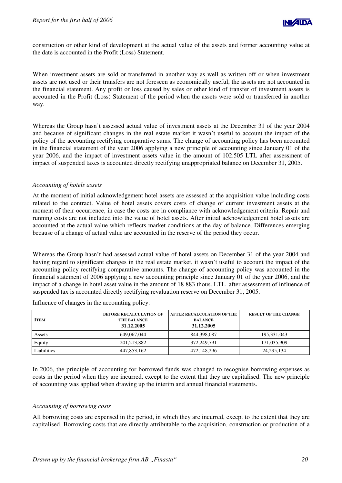

construction or other kind of development at the actual value of the assets and former accounting value at the date is accounted in the Profit (Loss) Statement.

When investment assets are sold or transferred in another way as well as written off or when investment assets are not used or their transfers are not foreseen as economically useful, the assets are not accounted in the financial statement. Any profit or loss caused by sales or other kind of transfer of investment assets is accounted in the Profit (Loss) Statement of the period when the assets were sold or transferred in another way.

Whereas the Group hasn't assessed actual value of investment assets at the December 31 of the year 2004 and because of significant changes in the real estate market it wasn't useful to account the impact of the policy of the accounting rectifying comparative sums. The change of accounting policy has been accounted in the financial statement of the year 2006 applying a new principle of accounting since January 01 of the year 2006, and the impact of investment assets value in the amount of 102.505 LTL after assessment of impact of suspended taxes is accounted directly rectifying unappropriated balance on December 31, 2005.

## *Accounting of hotels assets*

At the moment of initial acknowledgement hotel assets are assessed at the acquisition value including costs related to the contract. Value of hotel assets covers costs of change of current investment assets at the moment of their occurrence, in case the costs are in compliance with acknowledgement criteria. Repair and running costs are not included into the value of hotel assets. After initial acknowledgement hotel assets are accounted at the actual value which reflects market conditions at the day of balance. Differences emerging because of a change of actual value are accounted in the reserve of the period they occur.

Whereas the Group hasn't had assessed actual value of hotel assets on December 31 of the year 2004 and having regard to significant changes in the real estate market, it wasn't useful to account the impact of the accounting policy rectifying comparative amounts. The change of accounting policy was accounted in the financial statement of 2006 applying a new accounting principle since January 01 of the year 2006, and the impact of a change in hotel asset value in the amount of 18 883 thous. LTL after assessment of influence of suspended tax is accounted directly rectifying revaluation reserve on December 31, 2005.

| <b>ITEM</b> | <b>BEFORE RECALCULATION OF</b><br><b>THE BALANCE</b><br>31.12.2005 | <b>AFTER RECALCULATION OF THE</b><br><b>BALANCE</b><br>31.12.2005 | <b>RESULT OF THE CHANGE</b> |
|-------------|--------------------------------------------------------------------|-------------------------------------------------------------------|-----------------------------|
| Assets      | 649,067,044                                                        | 844,398,087                                                       | 195, 331, 043               |
| Equity      | 201, 213, 882                                                      | 372,249,791                                                       | 171,035,909                 |
| Liabilities | 447.853.162                                                        | 472,148,296                                                       | 24, 295, 134                |

Influence of changes in the accounting policy:

In 2006, the principle of accounting for borrowed funds was changed to recognise borrowing expenses as costs in the period when they are incurred, except to the extent that they are capitalised. The new principle of accounting was applied when drawing up the interim and annual financial statements.

## *Accounting of borrowing costs*

All borrowing costs are expensed in the period, in which they are incurred, except to the extent that they are capitalised. Borrowing costs that are directly attributable to the acquisition, construction or production of a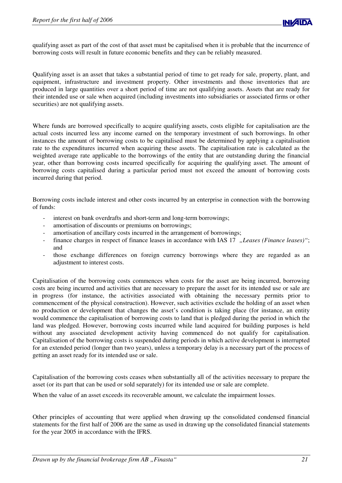qualifying asset as part of the cost of that asset must be capitalised when it is probable that the incurrence of borrowing costs will result in future economic benefits and they can be reliably measured.

Qualifying asset is an asset that takes a substantial period of time to get ready for sale, property, plant, and equipment, infrastructure and investment property. Other investments and those inventories that are produced in large quantities over a short period of time are not qualifying assets. Assets that are ready for their intended use or sale when acquired (including investments into subsidiaries or associated firms or other securities) are not qualifying assets.

Where funds are borrowed specifically to acquire qualifying assets, costs eligible for capitalisation are the actual costs incurred less any income earned on the temporary investment of such borrowings. In other instances the amount of borrowing costs to be capitalised must be determined by applying a capitalisation rate to the expenditures incurred when acquiring these assets. The capitalisation rate is calculated as the weighted average rate applicable to the borrowings of the entity that are outstanding during the financial year, other than borrowing costs incurred specifically for acquiring the qualifying asset. The amount of borrowing costs capitalised during a particular period must not exceed the amount of borrowing costs incurred during that period.

Borrowing costs include interest and other costs incurred by an enterprise in connection with the borrowing of funds:

- interest on bank overdrafts and short-term and long-term borrowings;
- amortisation of discounts or premiums on borrowings;
- amortisation of ancillary costs incurred in the arrangement of borrowings;
- finance charges in respect of finance leases in accordance with IAS 17 *"Leases (Finance leases)"*; and
- those exchange differences on foreign currency borrowings where they are regarded as an adjustment to interest costs.

Capitalisation of the borrowing costs commences when costs for the asset are being incurred, borrowing costs are being incurred and activities that are necessary to prepare the asset for its intended use or sale are in progress (for instance, the activities associated with obtaining the necessary permits prior to commencement of the physical construction). However, such activities exclude the holding of an asset when no production or development that changes the asset's condition is taking place (for instance, an entity would commence the capitalisation of borrowing costs to land that is pledged during the period in which the land was pledged. However, borrowing costs incurred while land acquired for building purposes is held without any associated development activity having commenced do not qualify for capitalisation. Capitalisation of the borrowing costs is suspended during periods in which active development is interrupted for an extended period (longer than two years), unless a temporary delay is a necessary part of the process of getting an asset ready for its intended use or sale.

Capitalisation of the borrowing costs ceases when substantially all of the activities necessary to prepare the asset (or its part that can be used or sold separately) for its intended use or sale are complete.

When the value of an asset exceeds its recoverable amount, we calculate the impairment losses.

Other principles of accounting that were applied when drawing up the consolidated condensed financial statements for the first half of 2006 are the same as used in drawing up the consolidated financial statements for the year 2005 in accordance with the IFRS.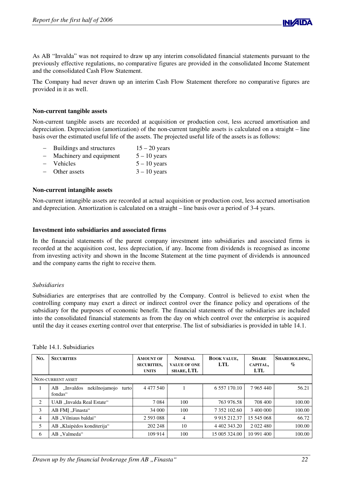

As AB "Invalda" was not required to draw up any interim consolidated financial statements pursuant to the previously effective regulations, no comparative figures are provided in the consolidated Income Statement and the consolidated Cash Flow Statement.

The Company had never drawn up an interim Cash Flow Statement therefore no comparative figures are provided in it as well.

## **Non-current tangible assets**

Non-current tangible assets are recorded at acquisition or production cost, less accrued amortisation and depreciation. Depreciation (amortization) of the non-current tangible assets is calculated on a straight – line basis over the estimated useful life of the assets. The projected useful life of the assets is as follows:

| Buildings and structures | $15 - 20$ years |
|--------------------------|-----------------|
|                          |                 |

- Machinery and equipment  $5 10$  years
- Vehicles  $5 10$  years
- Other assets  $3 10$  years

#### **Non-current intangible assets**

Non-current intangible assets are recorded at actual acquisition or production cost, less accrued amortisation and depreciation. Amortization is calculated on a straight – line basis over a period of 3-4 years.

#### **Investment into subsidiaries and associated firms**

In the financial statements of the parent company investment into subsidiaries and associated firms is recorded at the acquisition cost, less depreciation, if any. Income from dividends is recognised as income from investing activity and shown in the Income Statement at the time payment of dividends is announced and the company earns the right to receive them.

## *Subsidiaries*

Subsidiaries are enterprises that are controlled by the Company. Control is believed to exist when the controlling company may exert a direct or indirect control over the finance policy and operations of the subsidiary for the purposes of economic benefit. The financial statements of the subsidiaries are included into the consolidated financial statements as from the day on which control over the enterprise is acquired until the day it ceases exerting control over that enterprise. The list of subsidiaries is provided in table 14.1.

| No.            | <b>SECURITIES</b>                                     | <b>AMOUNT OF</b><br><b>SECURITIES,</b><br><b>UNITS</b> | <b>NOMINAL</b><br><b>VALUE OF ONE</b><br><b>SHARE, LTL</b> | <b>BOOK VALUE,</b><br>LTL | <b>SHARE</b><br>CAPITAL,<br>LTL | SHAREHOLDING,<br>$\%$ |  |
|----------------|-------------------------------------------------------|--------------------------------------------------------|------------------------------------------------------------|---------------------------|---------------------------------|-----------------------|--|
|                | NON-CURRENT ASSET                                     |                                                        |                                                            |                           |                                 |                       |  |
|                | nekilnojamojo<br>"Invaldos<br>AB.<br>turto<br>fondas" | 4 4 7 7 5 4 0                                          |                                                            | 6 5 5 7 1 7 0 . 1 0       | 7 965 440                       | 56.21                 |  |
| 2              | UAB "Invalda Real Estate"                             | 7 0 8 4                                                | 100                                                        | 763 976.58                | 708 400                         | 100.00                |  |
| 3              | AB FMI "Finasta"                                      | 34 000                                                 | 100                                                        | 7 352 102.60              | 3 400 000                       | 100.00                |  |
| $\overline{4}$ | AB "Vilniaus baldai"                                  | 2 5 9 3 0 8 8                                          | 4                                                          | 9 9 15 2 12 37            | 15 545 068                      | 66.72                 |  |
| 5              | AB "Klaipėdos konditerija"                            | 202 248                                                | 10                                                         | 4 402 343.20              | 2 0 2 2 4 8 0                   | 100.00                |  |
| 6              | AB "Valmeda"                                          | 109 914                                                | 100                                                        | 15 005 324.00             | 10 991 400                      | 100.00                |  |

#### Table 14.1. Subsidiaries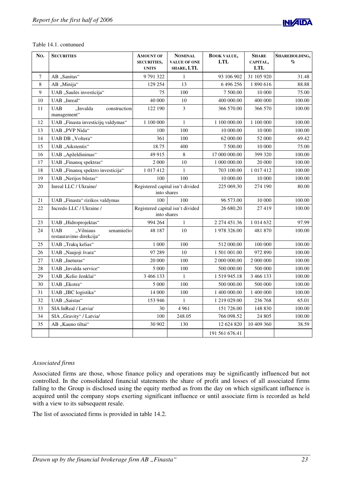

|  | Table 14.1. contunued |
|--|-----------------------|
|  |                       |

| No.              | <b>SECURITIES</b>                                                | <b>AMOUNT OF</b><br><b>SECURITIES,</b><br><b>UNITS</b> | <b>NOMINAL</b><br><b>VALUE OF ONE</b><br>SHARE, LTL | <b>BOOK VALUE,</b><br><b>LTL</b> | <b>SHARE</b><br>CAPITAL,<br><b>LTL</b> | SHAREHOLDING,<br>$\%$ |
|------------------|------------------------------------------------------------------|--------------------------------------------------------|-----------------------------------------------------|----------------------------------|----------------------------------------|-----------------------|
| $\boldsymbol{7}$ | AB "Sanitas"                                                     | 9791322                                                | $\mathbf{1}$                                        | 93 106 902                       | 31 105 920                             | 31.48                 |
| 8                | AB "Minija"                                                      | 129 254                                                | 13                                                  | 6496256                          | 1890616                                | 88.88                 |
| 9                | UAB "Saulės investicija"                                         | 75                                                     | 100                                                 | 7 500.00                         | 10 000                                 | 75.00                 |
| 10               | UAB "Inreal"                                                     | 40 000                                                 | 10                                                  | 400 000.00                       | 400 000                                | 100.00                |
| 11               | <b>UAB</b><br>"Invalda<br>construction<br>management"            | 122 190                                                | 3                                                   | 366 570.00                       | 366 570                                | 100.00                |
| 12               | UAB "Finasta investicijų valdymas"                               | 1 100 000                                              | $\mathbf{1}$                                        | 1 100 000.00                     | 1 100 000                              | 100.00                |
| 13               | UAB "PVP Nida"                                                   | 100                                                    | 100                                                 | 10 000.00                        | 10 000                                 | 100.00                |
| 14               | UAB DB "Voltera"                                                 | 361                                                    | 100                                                 | 62 000.00                        | 52 000                                 | 69.42                 |
| 15               | UAB "Aikstentis"                                                 | 18.75                                                  | 400                                                 | 7 500.00                         | 10 000                                 | 75.00                 |
| 16               | UAB "Apželdinimas"                                               | 49 915                                                 | 8                                                   | 17 000 000.00                    | 399 320                                | 100.00                |
| 17               | UAB "Finansų spektras"                                           | 2 000                                                  | 10                                                  | 1 000 000.00                     | 20 000                                 | 100.00                |
| 18               | UAB "Finansų spektro investicija"                                | 1 017 412                                              | 1                                                   | 703 100.00                       | 1 017 412                              | 100.00                |
| 19               | UAB "Nerijos būstas"                                             | 100                                                    | 100                                                 | 10 000.00                        | 10 000                                 | 100.00                |
| 20               | Inreal LLC / Ukraine/                                            |                                                        | Registered capital isn't divided<br>into shares     | 225 069,30                       | 274 190                                | 80.00                 |
| 21               | UAB "Finasta" rizikos valdymas                                   | 100                                                    | 100                                                 | 96 573.00                        | 10 000                                 | 100.00                |
| 22               | Incredo LLC / Ukraine /                                          | into shares                                            | Registered capital isn't divided                    | 26 680,20                        | 27419                                  | 100.00                |
| 23               | UAB "Hidroprojektas"                                             | 994 264                                                | $\mathbf{1}$                                        | 2 274 451.36                     | 1 014 632                              | 97.99                 |
| 24               | <b>UAB</b><br>"Vilniaus<br>senamiečio<br>restauravimo direkcija" | 48 187                                                 | 10                                                  | 1978 326.00                      | 481 870                                | 100.00                |
| 25               | UAB "Trakų kelias"                                               | 1 000                                                  | 100                                                 | 512 000.00                       | 100 000                                | 100.00                |
| 26               | UAB "Naujoji švara"                                              | 97 289                                                 | 10                                                  | 1 501 001.00                     | 972 890                                | 100.00                |
| 27               | UAB "Ineturas"                                                   | 20 000                                                 | 100                                                 | 2 000 000.00                     | 2 000 000                              | 100.00                |
| 28               | UAB "Invalda service"                                            | 5 000                                                  | 100                                                 | 500 000.00                       | 500 000                                | 100.00                |
| 29               | UAB "Kelio ženklai"                                              | 3 466 133                                              | $\mathbf{1}$                                        | 1519945.18                       | 3 466 133                              | 100.00                |
| 30               | UAB "Ekotra"                                                     | 5 000                                                  | 100                                                 | 500 000.00                       | 500 000                                | 100.00                |
| 31               | UAB "IBC logistika"                                              | 14 000                                                 | 100                                                 | 1 400 000.00                     | 1 400 000                              | 100.00                |
| 32               | UAB "Saistas"                                                    | 153 946                                                | 1                                                   | 1 219 029.00                     | 236 768                                | 65.01                 |
| 33               | SIA InReal / Latvia/                                             | 30                                                     | 4 9 6 1                                             | 151 726.00                       | 148 830                                | 100.00                |
| 34               | SIA "Gravity" / Latvia/                                          | 100                                                    | 248.05                                              | 766 098.52                       | 24 805                                 | 100.00                |
| 35               | AB "Kauno tiltai"                                                | 30 902                                                 | 130                                                 | 12 624 820                       | 10 409 360                             | 38.59                 |
|                  |                                                                  |                                                        |                                                     | 191 561 676.41                   |                                        |                       |

# *Associated firms*

Associated firms are those, whose finance policy and operations may be significantly influenced but not controlled. In the consolidated financial statements the share of profit and losses of all associated firms falling to the Group is disclosed using the equity method as from the day on which significant influence is acquired until the company stops exerting significant influence or until associate firm is recorded as held with a view to its subsequent resale.

The list of associated firms is provided in table 14.2.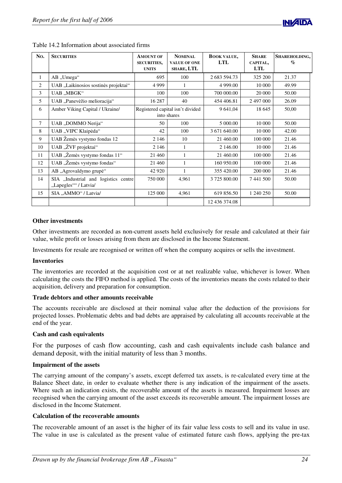

| No.            | <b>SECURITIES</b>                                             | <b>AMOUNT OF</b><br><b>SECURITIES,</b><br><b>UNITS</b> | <b>NOMINAL</b><br><b>VALUE OF ONE</b><br>SHARE, LTL | <b>BOOK VALUE.</b><br><b>LTL</b> | <b>SHARE</b><br>CAPITAL.<br>LTL | SHAREHOLDING,<br>$\mathcal{O}_0$ |
|----------------|---------------------------------------------------------------|--------------------------------------------------------|-----------------------------------------------------|----------------------------------|---------------------------------|----------------------------------|
| $\mathbf{1}$   | AB "Umega"                                                    | 695                                                    | 100                                                 | 2 683 594.73                     | 325 200                         | 21.37                            |
| $\overline{2}$ | UAB "Laikinosios sostinės projektai"                          | 4 9 9 9                                                | $\mathbf{1}$                                        | 4 9 9 9.0 0                      | 10 000                          | 49.99                            |
| 3              | UAB "MBGK"                                                    | 100                                                    | 100                                                 | 700 000.00                       | 20 000                          | 50.00                            |
| 5              | UAB "Panevėžio melioracija"                                   | 16 287                                                 | 40                                                  | 454 406.81                       | 2 497 000                       | 26.09                            |
| 6              | Amber Viking Capital / Ukraine/                               |                                                        | Registered capital isn't divided<br>into shares     | 9 641,04                         | 18 645                          | 50,00                            |
| 7              | UAB "DOMMO Nerija"                                            | 50                                                     | 100                                                 | 5 000.00                         | 10 000                          | 50.00                            |
| 8              | UAB "VIPC Klaipėda"                                           | 42                                                     | 100                                                 | 3 671 640.00                     | 10 000                          | 42.00                            |
| 9              | UAB Žemės vystymo fondas 12                                   | 2 1 4 6                                                | 10                                                  | 21 460.00                        | 100 000                         | 21.46                            |
| 10             | UAB "ŽVF projektai"                                           | 2 1 4 6                                                | 1                                                   | 2 146.00                         | 10 000                          | 21.46                            |
| 11             | UAB "Žemės vystymo fondas 11"                                 | 21 460                                                 | 1                                                   | 21 460.00                        | 100 000                         | 21.46                            |
| 12             | UAB "Žemės vystymo fondas"                                    | 21 460                                                 | $\mathbf{1}$                                        | 160 950.00                       | 100 000                         | 21.46                            |
| 13             | AB "Agrovaldymo grupė"                                        | 42 9 20                                                | 1                                                   | 355 420.00                       | 200 000                         | 21.46                            |
| 14             | SIA "Industrial and logistics centre<br>"Lapegles"" / Latvia/ | 750 000                                                | 4,961                                               | 3 725 800.00                     | 7441500                         | 50.00                            |
| 15             | SIA "AMMO" / Latvia/                                          | 125 000                                                | 4,961                                               | 619 856.50                       | 1 240 250                       | 50.00                            |
|                |                                                               |                                                        |                                                     | 12 436 374.08                    |                                 |                                  |

Table 14.2 Information about associated firms

## **Other investments**

Other investments are recorded as non-current assets held exclusively for resale and calculated at their fair value, while profit or losses arising from them are disclosed in the Income Statement.

Investments for resale are recognised or written off when the company acquires or sells the investment.

## **Inventories**

The inventories are recorded at the acquisition cost or at net realizable value, whichever is lower. When calculating the costs the FIFO method is applied. The costs of the inventories means the costs related to their acquisition, delivery and preparation for consumption.

## **Trade debtors and other amounts receivable**

The accounts receivable are disclosed at their nominal value after the deduction of the provisions for projected losses. Problematic debts and bad debts are appraised by calculating all accounts receivable at the end of the year.

# **Cash and cash equivalents**

For the purposes of cash flow accounting, cash and cash equivalents include cash balance and demand deposit, with the initial maturity of less than 3 months.

## **Impairment of the assets**

The carrying amount of the company's assets, except deferred tax assets, is re-calculated every time at the Balance Sheet date, in order to evaluate whether there is any indication of the impairment of the assets. Where such an indication exists, the recoverable amount of the assets is measured. Impairment losses are recognised when the carrying amount of the asset exceeds its recoverable amount. The impairment losses are disclosed in the Income Statement.

## **Calculation of the recoverable amounts**

The recoverable amount of an asset is the higher of its fair value less costs to sell and its value in use. The value in use is calculated as the present value of estimated future cash flows, applying the pre-tax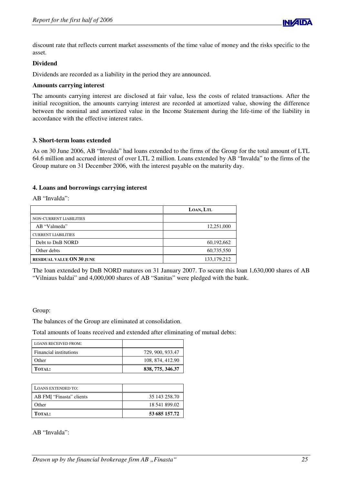

discount rate that reflects current market assessments of the time value of money and the risks specific to the asset.

## **Dividend**

Dividends are recorded as a liability in the period they are announced.

## **Amounts carrying interest**

The amounts carrying interest are disclosed at fair value, less the costs of related transactions. After the initial recognition, the amounts carrying interest are recorded at amortized value, showing the difference between the nominal and amortized value in the Income Statement during the life-time of the liability in accordance with the effective interest rates.

## **3. Short-term loans extended**

As on 30 June 2006, AB "Invalda" had loans extended to the firms of the Group for the total amount of LTL 64.6 million and accrued interest of over LTL 2 million. Loans extended by AB "Invalda" to the firms of the Group mature on 31 December 2006, with the interest payable on the maturity day.

## **4. Loans and borrowings carrying interest**

AB "Invalda":

|                                  | LOAN, LTL     |
|----------------------------------|---------------|
| NON-CURRENT LIABILITIES          |               |
| AB "Valmeda"                     | 12,251,000    |
| <b>CURRENT LIABILITIES</b>       |               |
| Debt to DnB NORD                 | 60,192,662    |
| Other debts                      | 60,735,550    |
| <b>RESIDUAL VALUE ON 30 JUNE</b> | 133, 179, 212 |

The loan extended by DnB NORD matures on 31 January 2007. To secure this loan 1,630,000 shares of AB "Vilniaus baldai" and 4,000,000 shares of AB "Sanitas" were pledged with the bank.

## Group:

The balances of the Group are eliminated at consolidation.

Total amounts of loans received and extended after eliminating of mutual debts:

| <b>LOANS RECEIVED FROM:</b> |                  |
|-----------------------------|------------------|
| Financial institutions      | 729, 900, 933.47 |
| Other                       | 108, 874, 412.90 |
| <b>TOTAL:</b>               | 838, 775, 346.37 |

| <b>LOANS EXTENDED TO:</b> |               |
|---------------------------|---------------|
| AB FMI "Finasta" clients  | 35 143 258.70 |
| Other                     | 18 541 899.02 |
| <b>TOTAL:</b>             | 53 685 157.72 |

## AB "Invalda":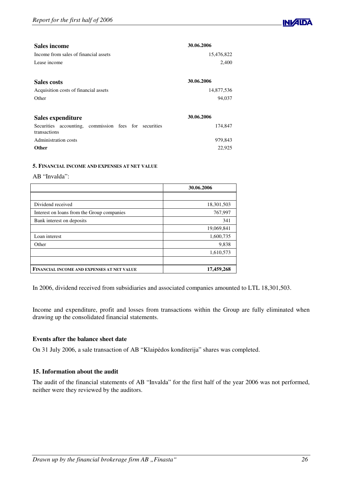

| <b>Sales income</b>                                                   | 30.06.2006 |
|-----------------------------------------------------------------------|------------|
| Income from sales of financial assets                                 | 15,476,822 |
| Lease income                                                          | 2,400      |
| <b>Sales costs</b>                                                    | 30.06.2006 |
| Acquisition costs of financial assets                                 | 14,877,536 |
| Other                                                                 | 94,037     |
| Sales expenditure                                                     | 30.06.2006 |
| Securities accounting, commission fees for securities<br>transactions | 174,847    |
| Administration costs                                                  | 979,843    |
| <b>Other</b>                                                          | 22,925     |

## **5. FINANCIAL INCOME AND EXPENSES AT NET VALUE**

#### AB "Invalda":

|                                            | 30.06.2006 |
|--------------------------------------------|------------|
|                                            |            |
| Dividend received                          | 18,301,503 |
| Interest on loans from the Group companies | 767,997    |
| Bank interest on deposits                  | 341        |
|                                            | 19,069,841 |
| Loan interest                              | 1,600,735  |
| Other                                      | 9,838      |
|                                            | 1,610,573  |
|                                            |            |
| FINANCIAL INCOME AND EXPENSES AT NET VALUE | 17,459,268 |

In 2006, dividend received from subsidiaries and associated companies amounted to LTL 18,301,503.

Income and expenditure, profit and losses from transactions within the Group are fully eliminated when drawing up the consolidated financial statements.

## **Events after the balance sheet date**

On 31 July 2006, a sale transaction of AB "Klaipėdos konditerija" shares was completed.

## **15. Information about the audit**

The audit of the financial statements of AB "Invalda" for the first half of the year 2006 was not performed, neither were they reviewed by the auditors.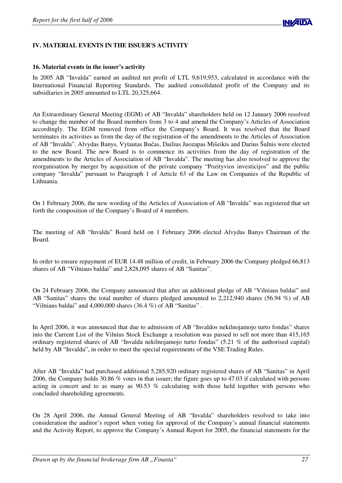

# **IV. MATERIAL EVENTS IN THE ISSUER'S ACTIVITY**

## **16. Material events in the issuer's activity**

In 2005 AB "Invalda" earned an audited net profit of LTL 9,619,953, calculated in accordance with the International Financial Reporting Standards. The audited consolidated profit of the Company and its subsidiaries in 2005 amounted to LTL 20,325,664.

An Extraordinary General Meeting (EGM) of AB "Invalda" shareholders held on 12 January 2006 resolved to change the number of the Board members from 3 to 4 and amend the Company's Articles of Association accordingly. The EGM removed from office the Company's Board. It was resolved that the Board terminates its activities as from the day of the registration of the amendments to the Articles of Association of AB "Invalda". Alvydas Banys, Vytautas Bučas, Dailius Juozapas Mišeikis and Darius Šulnis were elected to the new Board. The new Board is to commence its activities from the day of registration of the amendments to the Articles of Association of AB "Invalda". The meeting has also resolved to approve the reorganisation by merger by acquisition of the private company "Pozityvios investicijos" and the public company "Invalda" pursuant to Paragraph 1 of Article 63 of the Law on Companies of the Republic of Lithuania.

On 1 February 2006, the new wording of the Articles of Association of AB "Invalda" was registered that set forth the composition of the Company's Board of 4 members.

The meeting of AB "Invalda" Board held on 1 February 2006 elected Alvydas Banys Chairman of the Board.

In order to ensure repayment of EUR 14.48 million of credit, in February 2006 the Company pledged 66,813 shares of AB "Vilniaus baldai" and 2,828,095 shares of AB "Sanitas".

On 24 February 2006, the Company announced that after an additional pledge of AB "Vilniaus baldai" and AB "Sanitas" shares the total number of shares pledged amounted to 2,212,940 shares (56.94 %) of AB "Vilniaus baldai" and 4,000,000 shares (36.4 %) of AB "Sanitas" .

In April 2006, it was announced that due to admission of AB "Invaldos nekilnojamojo turto fondas" shares into the Current List of the Vilnius Stock Exchange a resolution was passed to sell not more than 415,165 ordinary registered shares of AB "Invalda nekilnojamojo turto fondas" (5.21 % of the authorised capital) held by AB "Invalda", in order to meet the special requirements of the VSE Trading Rules.

After AB "Invalda" had purchased additional 5,285,920 ordinary registered shares of AB "Sanitas" in April 2006, the Company holds 30.86 % votes in that issuer; the figure goes up to 47.03 if calculated with persons acting in concert and to as many as 90.53 % calculating with those held together with persons who concluded shareholding agreements.

On 28 April 2006, the Annual General Meeting of AB "Invalda" shareholders resolved to take into consideration the auditor's report when voting for approval of the Company's annual financial statements and the Activity Report, to approve the Company's Annual Report for 2005, the financial statements for the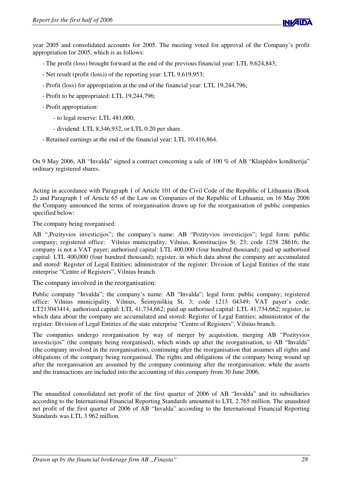

year 2005 and consolidated accounts for 2005. The meeting voted for approval of the Company's profit appropriation for 2005, which is as follows:

- The profit (loss) brought forward at the end of the previous financial year: LTL 9,624,843;
- Net result (profit (loss)) of the reporting year: LTL 9,619,953;
- Profit (loss) for appropriation at the end of the financial year: LTL 19,244,796;
- Profit to be appropriated: LTL 19,244,796;
- Profit appropriation:
	- to legal reserve: LTL 481,000;
	- dividend: LTL 8,346,932, or LTL 0.20 per share.
- Retained earnings at the end of the financial year: LTL 10,416,864.

On 9 May 2006, AB "Invalda" signed a contract concerning a sale of 100 % of AB "Klaipėdos konditerija" ordinary registered shares.

Acting in accordance with Paragraph 1 of Article 101 of the Civil Code of the Republic of Lithuania (Book 2) and Paragraph 1 of Article 65 of the Law on Companies of the Republic of Lithuania, on 16 May 2006 the Company announced the terms of reorganisation drawn up for the reorganisation of public companies specified below:

The company being reorganised:

AB ",Pozityvios investicijos"; the company's name: AB "Pozityvios investicijos"; legal form: public company; registered office: Vilnius municipality, Vilnius, Konstitucijos St. 23; code 1258 28616; the company is not a VAT payer; authorised capital: LTL 400,000 (four hundred thousand); paid up authorised capital: LTL 400,000 (four hundred thousand); register, in which data about the company are accumulated and stored: Register of Legal Entities; administrator of the register: Division of Legal Entities of the state enterprise "Centre of Registers", Vilnius branch.

The company involved in the reorganisation:

Public company "Invalda"; the company's name: AB "Invalda"; legal form: public company; registered office: Vilnius municipality, Vilnius, Šeimyniškių St. 3; code 1213 04349; VAT payer's code: LT213043414; authorised capital: LTL 41,734,662; paid up authorised capital: LTL 41,734,662; register, in which data about the company are accumulated and stored: Register of Legal Entities; administrator of the register: Division of Legal Entities of the state enterprise "Centre of Registers", Vilnius branch.

The companies undergo reorganisation by way of merger by acquisition, merging AB "Pozityvios investicijos" (the company being reorganised), which winds up after the reorganisation, to AB "Invalda" (the company involved in the reorganisation), continuing after the reorganisation that assumes all rights and obligations of the company being reorganised. The rights and obligations of the company being wound up after the reorganisation are assumed by the company continuing after the reorganisation; while the assets and the transactions are included into the accounting of this company from 30 June 2006.

The unaudited consolidated net profit of the first quarter of 2006 of AB "Invalda" and its subsidiaries according to the International Financial Reporting Standards amounted to LTL 2.765 million. The unaudited net profit of the first quarter of 2006 of AB "Invalda" according to the International Financial Reporting Standards was LTL 3.962 million.